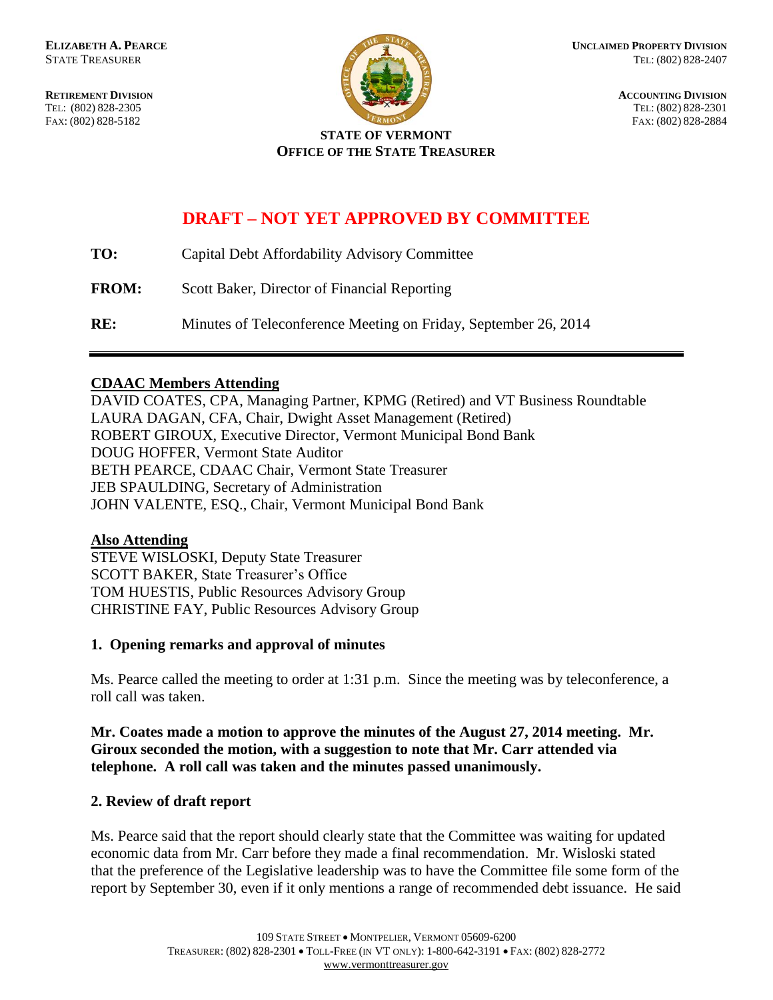FAX: (802) 828-5182



**RETIREMENT DIVISION**<br> **RETIREMENT DIVISION**<br> **ACCOUNTING DIVISION**<br> **RETIREMENT DIVISION**<br> **RETIREMENT DIVISION** TEL: (802) 828-2301<br>FAX: (802) 828-2884

#### **STATE OF VERMONT OFFICE OF THE STATE TREASURER**

# **DRAFT – NOT YET APPROVED BY COMMITTEE**

| TO:          | Capital Debt Affordability Advisory Committee |
|--------------|-----------------------------------------------|
| <b>FROM:</b> | Scott Baker, Director of Financial Reporting  |

**RE:** Minutes of Teleconference Meeting on Friday, September 26, 2014

# **CDAAC Members Attending**

DAVID COATES, CPA, Managing Partner, KPMG (Retired) and VT Business Roundtable LAURA DAGAN, CFA, Chair, Dwight Asset Management (Retired) ROBERT GIROUX, Executive Director, Vermont Municipal Bond Bank DOUG HOFFER, Vermont State Auditor BETH PEARCE, CDAAC Chair, Vermont State Treasurer JEB SPAULDING, Secretary of Administration JOHN VALENTE, ESQ., Chair, Vermont Municipal Bond Bank

# **Also Attending**

STEVE WISLOSKI, Deputy State Treasurer SCOTT BAKER, State Treasurer's Office TOM HUESTIS, Public Resources Advisory Group CHRISTINE FAY, Public Resources Advisory Group

# **1. Opening remarks and approval of minutes**

Ms. Pearce called the meeting to order at 1:31 p.m. Since the meeting was by teleconference, a roll call was taken.

**Mr. Coates made a motion to approve the minutes of the August 27, 2014 meeting. Mr. Giroux seconded the motion, with a suggestion to note that Mr. Carr attended via telephone. A roll call was taken and the minutes passed unanimously.**

# **2. Review of draft report**

Ms. Pearce said that the report should clearly state that the Committee was waiting for updated economic data from Mr. Carr before they made a final recommendation. Mr. Wisloski stated that the preference of the Legislative leadership was to have the Committee file some form of the report by September 30, even if it only mentions a range of recommended debt issuance. He said